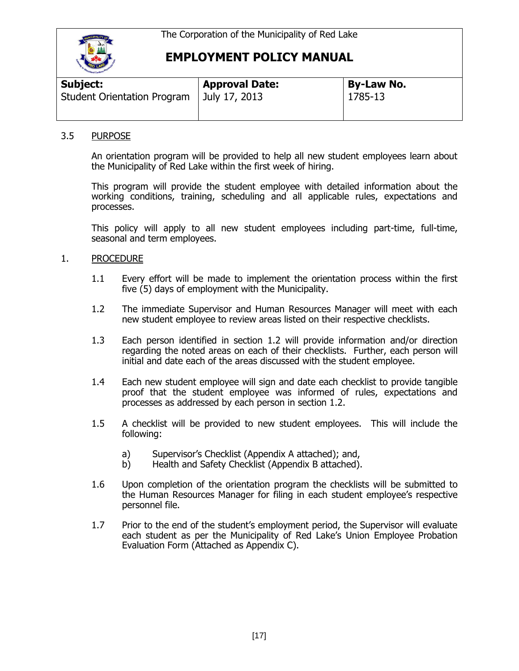

# **EMPLOYMENT POLICY MANUAL**

| Subject:                           | <b>Approval Date:</b> | By-Law No. |
|------------------------------------|-----------------------|------------|
| <b>Student Orientation Program</b> | July 17, 2013         | 1785-13    |

### 3.5 PURPOSE

An orientation program will be provided to help all new student employees learn about the Municipality of Red Lake within the first week of hiring.

This program will provide the student employee with detailed information about the working conditions, training, scheduling and all applicable rules, expectations and processes.

This policy will apply to all new student employees including part-time, full-time, seasonal and term employees.

#### 1. PROCEDURE

- 1.1 Every effort will be made to implement the orientation process within the first five (5) days of employment with the Municipality.
- 1.2 The immediate Supervisor and Human Resources Manager will meet with each new student employee to review areas listed on their respective checklists.
- 1.3 Each person identified in section 1.2 will provide information and/or direction regarding the noted areas on each of their checklists. Further, each person will initial and date each of the areas discussed with the student employee.
- 1.4 Each new student employee will sign and date each checklist to provide tangible proof that the student employee was informed of rules, expectations and processes as addressed by each person in section 1.2.
- 1.5 A checklist will be provided to new student employees. This will include the following:
	- a) Supervisor's Checklist (Appendix A attached); and,
	- b) Health and Safety Checklist (Appendix B attached).
- 1.6 Upon completion of the orientation program the checklists will be submitted to the Human Resources Manager for filing in each student employee's respective personnel file.
- 1.7 Prior to the end of the student's employment period, the Supervisor will evaluate each student as per the Municipality of Red Lake's Union Employee Probation Evaluation Form (Attached as Appendix C).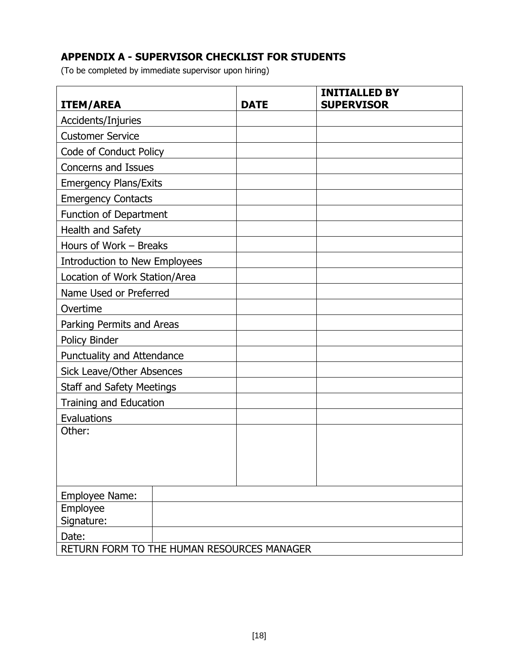### **APPENDIX A - SUPERVISOR CHECKLIST FOR STUDENTS**

(To be completed by immediate supervisor upon hiring)

| <b>ITEM/AREA</b>                           | <b>DATE</b> | <b>INITIALLED BY</b><br><b>SUPERVISOR</b> |
|--------------------------------------------|-------------|-------------------------------------------|
| Accidents/Injuries                         |             |                                           |
| <b>Customer Service</b>                    |             |                                           |
| Code of Conduct Policy                     |             |                                           |
| Concerns and Issues                        |             |                                           |
| <b>Emergency Plans/Exits</b>               |             |                                           |
| <b>Emergency Contacts</b>                  |             |                                           |
| Function of Department                     |             |                                           |
| Health and Safety                          |             |                                           |
| Hours of Work - Breaks                     |             |                                           |
| Introduction to New Employees              |             |                                           |
| Location of Work Station/Area              |             |                                           |
| Name Used or Preferred                     |             |                                           |
| Overtime                                   |             |                                           |
| Parking Permits and Areas                  |             |                                           |
| Policy Binder                              |             |                                           |
| Punctuality and Attendance                 |             |                                           |
| <b>Sick Leave/Other Absences</b>           |             |                                           |
| <b>Staff and Safety Meetings</b>           |             |                                           |
| Training and Education                     |             |                                           |
| Evaluations                                |             |                                           |
| Other:                                     |             |                                           |
|                                            |             |                                           |
|                                            |             |                                           |
|                                            |             |                                           |
| Employee Name:                             |             |                                           |
| Employee<br>Signature:                     |             |                                           |
| Date:                                      |             |                                           |
| RETURN FORM TO THE HUMAN RESOURCES MANAGER |             |                                           |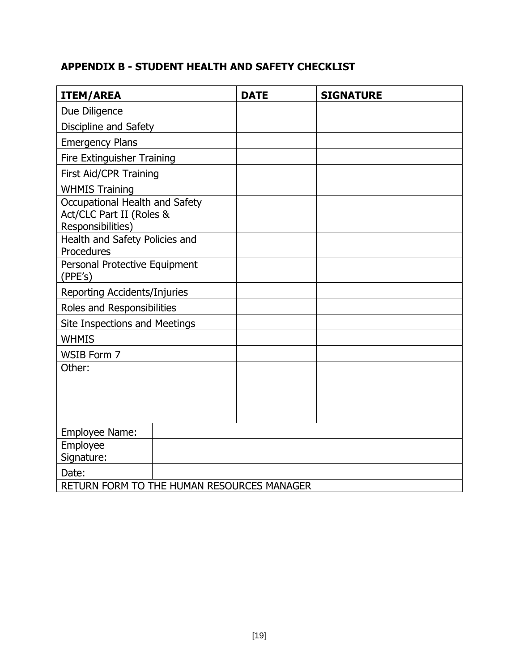# **APPENDIX B - STUDENT HEALTH AND SAFETY CHECKLIST**

| <b>ITEM/AREA</b>                                                                | <b>DATE</b> | <b>SIGNATURE</b> |
|---------------------------------------------------------------------------------|-------------|------------------|
| Due Diligence                                                                   |             |                  |
| Discipline and Safety                                                           |             |                  |
| <b>Emergency Plans</b>                                                          |             |                  |
| Fire Extinguisher Training                                                      |             |                  |
| First Aid/CPR Training                                                          |             |                  |
| <b>WHMIS Training</b>                                                           |             |                  |
| Occupational Health and Safety<br>Act/CLC Part II (Roles &<br>Responsibilities) |             |                  |
| Health and Safety Policies and<br>Procedures                                    |             |                  |
| Personal Protective Equipment<br>(PPE's)                                        |             |                  |
| Reporting Accidents/Injuries                                                    |             |                  |
| Roles and Responsibilities                                                      |             |                  |
| Site Inspections and Meetings                                                   |             |                  |
| <b>WHMIS</b>                                                                    |             |                  |
| WSIB Form 7                                                                     |             |                  |
| Other:                                                                          |             |                  |
| Employee Name:                                                                  |             |                  |
| Employee<br>Signature:                                                          |             |                  |
| Date:                                                                           |             |                  |
| RETURN FORM TO THE HUMAN RESOURCES MANAGER                                      |             |                  |